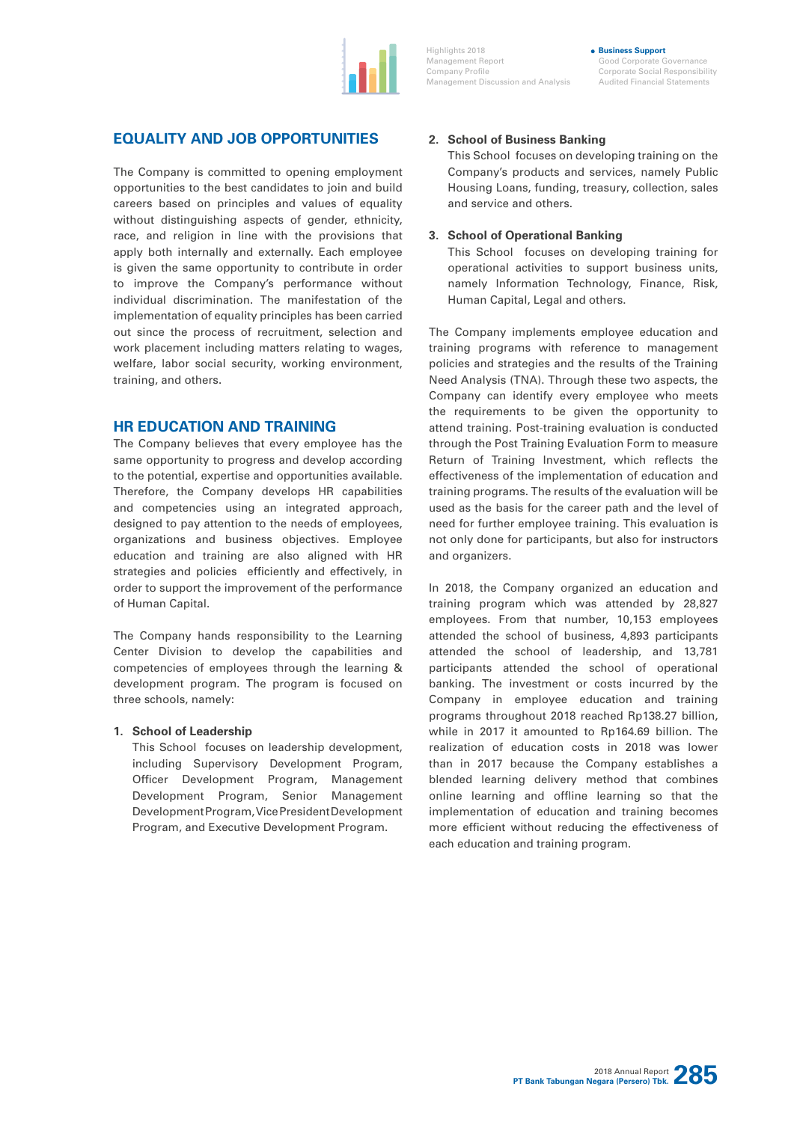

Highlights 2018 Management Report Company Profile Management Discussion and Analysis

Good Corporate Governance Corporate Social Responsibility Audited Financial Statements

**Business Support**

## **EQUALITY AND JOB OPPORTUNITIES**

The Company is committed to opening employment opportunities to the best candidates to join and build careers based on principles and values of equality without distinguishing aspects of gender, ethnicity, race, and religion in line with the provisions that apply both internally and externally. Each employee is given the same opportunity to contribute in order to improve the Company's performance without individual discrimination. The manifestation of the implementation of equality principles has been carried out since the process of recruitment, selection and work placement including matters relating to wages, welfare, labor social security, working environment, training, and others.

## **HR EDUCATION AND TRAINING**

The Company believes that every employee has the same opportunity to progress and develop according to the potential, expertise and opportunities available. Therefore, the Company develops HR capabilities and competencies using an integrated approach, designed to pay attention to the needs of employees, organizations and business objectives. Employee education and training are also aligned with HR strategies and policies efficiently and effectively, in order to support the improvement of the performance of Human Capital.

The Company hands responsibility to the Learning Center Division to develop the capabilities and competencies of employees through the learning & development program. The program is focused on three schools, namely:

#### **1. School of Leadership**

This School focuses on leadership development, including Supervisory Development Program, Officer Development Program, Management Development Program, Senior Management Development Program, Vice President Development Program, and Executive Development Program.

## **2. School of Business Banking**

This School focuses on developing training on the Company's products and services, namely Public Housing Loans, funding, treasury, collection, sales and service and others.

#### **3. School of Operational Banking**

This School focuses on developing training for operational activities to support business units, namely Information Technology, Finance, Risk, Human Capital, Legal and others.

The Company implements employee education and training programs with reference to management policies and strategies and the results of the Training Need Analysis (TNA). Through these two aspects, the Company can identify every employee who meets the requirements to be given the opportunity to attend training. Post-training evaluation is conducted through the Post Training Evaluation Form to measure Return of Training Investment, which reflects the effectiveness of the implementation of education and training programs. The results of the evaluation will be used as the basis for the career path and the level of need for further employee training. This evaluation is not only done for participants, but also for instructors and organizers.

In 2018, the Company organized an education and training program which was attended by 28,827 employees. From that number, 10,153 employees attended the school of business, 4,893 participants attended the school of leadership, and 13,781 participants attended the school of operational banking. The investment or costs incurred by the Company in employee education and training programs throughout 2018 reached Rp138.27 billion, while in 2017 it amounted to Rp164.69 billion. The realization of education costs in 2018 was lower than in 2017 because the Company establishes a blended learning delivery method that combines online learning and offline learning so that the implementation of education and training becomes more efficient without reducing the effectiveness of each education and training program.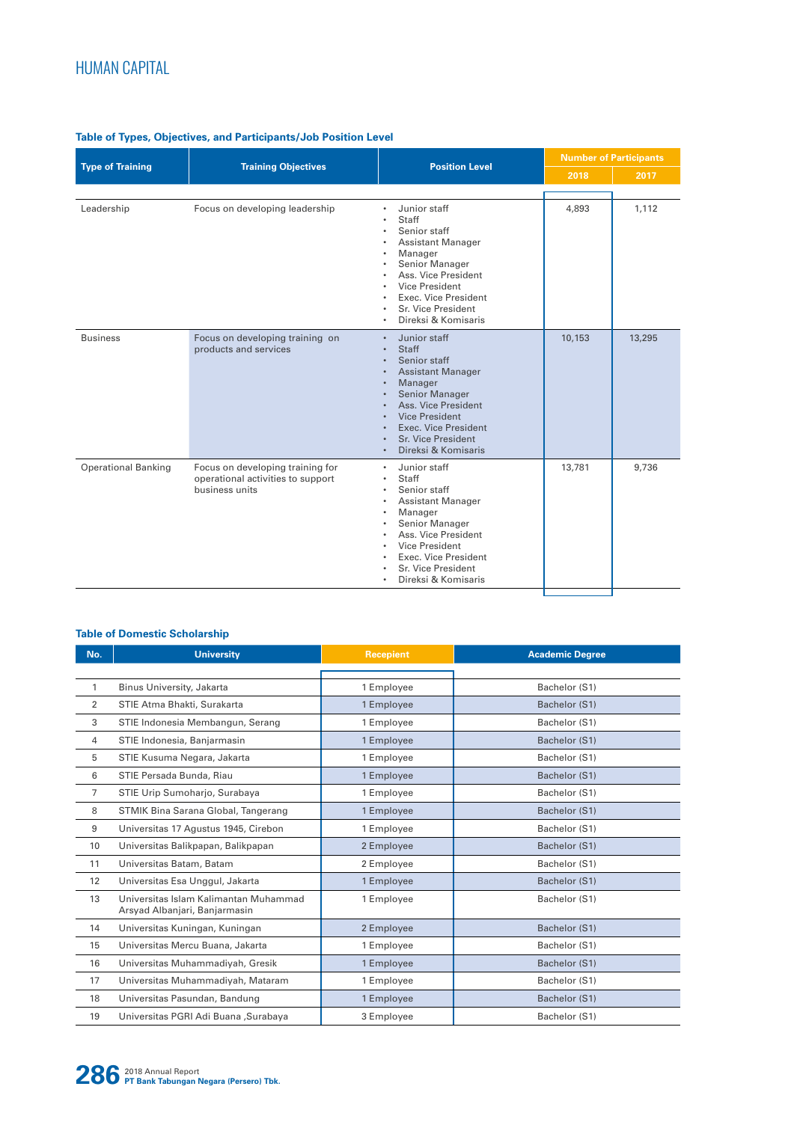# **Table of Types, Objectives, and Participants/Job Position Level**

|                            | <b>Training Objectives</b>                                                              | <b>Position Level</b>                                                                                                                                                                                                                                                                        | <b>Number of Participants</b> |        |
|----------------------------|-----------------------------------------------------------------------------------------|----------------------------------------------------------------------------------------------------------------------------------------------------------------------------------------------------------------------------------------------------------------------------------------------|-------------------------------|--------|
| <b>Type of Training</b>    |                                                                                         |                                                                                                                                                                                                                                                                                              | 2018                          | 2017   |
|                            |                                                                                         |                                                                                                                                                                                                                                                                                              |                               |        |
| Leadership                 | Focus on developing leadership                                                          | Junior staff<br>٠<br><b>Staff</b><br>Senior staff<br><b>Assistant Manager</b><br>Manager<br>٠<br>Senior Manager<br>Ass. Vice President<br>Vice President<br>Exec. Vice President<br>Sr. Vice President<br>Direksi & Komisaris<br>٠                                                           | 4,893                         | 1.112  |
| <b>Business</b>            | Focus on developing training on<br>products and services                                | Junior staff<br>$\bullet$<br><b>Staff</b><br>$\bullet$<br>Senior staff<br><b>Assistant Manager</b><br>Manager<br><b>Senior Manager</b><br>Ass. Vice President<br><b>Vice President</b><br><b>Exec. Vice President</b><br>$\bullet$<br>Sr. Vice President<br>Direksi & Komisaris<br>$\bullet$ | 10,153                        | 13,295 |
| <b>Operational Banking</b> | Focus on developing training for<br>operational activities to support<br>business units | Junior staff<br>٠<br>Staff<br>Senior staff<br><b>Assistant Manager</b><br>Manager<br>٠<br>Senior Manager<br>Ass. Vice President<br>Vice President<br>Exec. Vice President<br>Sr. Vice President<br>Direksi & Komisaris<br>٠                                                                  | 13,781                        | 9,736  |

## **Table of Domestic Scholarship**

| No. | <b>University</b>                                                      | <b>Recepient</b> | <b>Academic Degree</b> |
|-----|------------------------------------------------------------------------|------------------|------------------------|
|     |                                                                        |                  |                        |
| 1   | Binus University, Jakarta                                              | 1 Employee       | Bachelor (S1)          |
| 2   | STIE Atma Bhakti, Surakarta                                            | 1 Employee       | Bachelor (S1)          |
| 3   | STIE Indonesia Membangun, Serang                                       | 1 Employee       | Bachelor (S1)          |
| 4   | STIE Indonesia, Banjarmasin                                            | 1 Employee       | Bachelor (S1)          |
| 5   | STIE Kusuma Negara, Jakarta                                            | 1 Employee       | Bachelor (S1)          |
| 6   | STIE Persada Bunda, Riau                                               | 1 Employee       | Bachelor (S1)          |
| 7   | STIE Urip Sumoharjo, Surabaya                                          | 1 Employee       | Bachelor (S1)          |
| 8   | STMIK Bina Sarana Global, Tangerang                                    | 1 Employee       | Bachelor (S1)          |
| 9   | Universitas 17 Agustus 1945, Cirebon                                   | 1 Employee       | Bachelor (S1)          |
| 10  | Universitas Balikpapan, Balikpapan                                     | 2 Employee       | Bachelor (S1)          |
| 11  | Universitas Batam, Batam                                               | 2 Employee       | Bachelor (S1)          |
| 12  | Universitas Esa Unggul, Jakarta                                        | 1 Employee       | Bachelor (S1)          |
| 13  | Universitas Islam Kalimantan Muhammad<br>Arsyad Albanjari, Banjarmasin | 1 Employee       | Bachelor (S1)          |
| 14  | Universitas Kuningan, Kuningan                                         | 2 Employee       | Bachelor (S1)          |
| 15  | Universitas Mercu Buana, Jakarta                                       | 1 Employee       | Bachelor (S1)          |
| 16  | Universitas Muhammadiyah, Gresik                                       | 1 Employee       | Bachelor (S1)          |
| 17  | Universitas Muhammadiyah, Mataram                                      | 1 Employee       | Bachelor (S1)          |
| 18  | Universitas Pasundan, Bandung                                          | 1 Employee       | Bachelor (S1)          |
| 19  | Universitas PGRI Adi Buana , Surabaya                                  | 3 Employee       | Bachelor (S1)          |